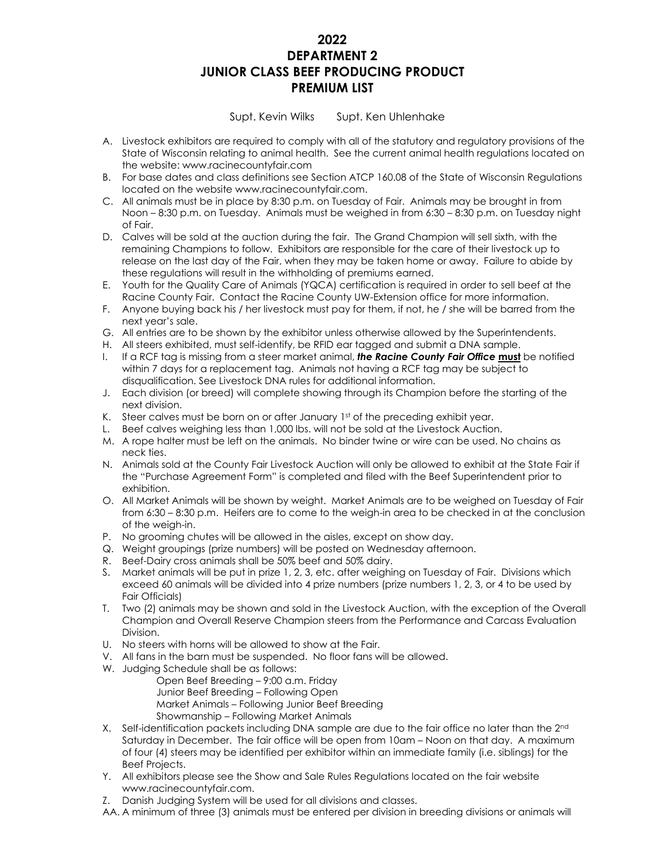# **2022 DEPARTMENT 2 JUNIOR CLASS BEEF PRODUCING PRODUCT PREMIUM LIST**

Supt. Kevin Wilks Supt. Ken Uhlenhake

- A. Livestock exhibitors are required to comply with all of the statutory and regulatory provisions of the State of Wisconsin relating to animal health. See the current animal health regulations located on the website: www.racinecountyfair.com
- B. For base dates and class definitions see Section ATCP 160.08 of the State of Wisconsin Regulations located on the website www.racinecountyfair.com.
- C. All animals must be in place by 8:30 p.m. on Tuesday of Fair. Animals may be brought in from Noon – 8:30 p.m. on Tuesday. Animals must be weighed in from 6:30 – 8:30 p.m. on Tuesday night of Fair.
- D. Calves will be sold at the auction during the fair. The Grand Champion will sell sixth, with the remaining Champions to follow. Exhibitors are responsible for the care of their livestock up to release on the last day of the Fair, when they may be taken home or away. Failure to abide by these regulations will result in the withholding of premiums earned.
- E. Youth for the Quality Care of Animals (YQCA) certification is required in order to sell beef at the Racine County Fair. Contact the Racine County UW-Extension office for more information.
- F. Anyone buying back his / her livestock must pay for them, if not, he / she will be barred from the next year's sale.
- G. All entries are to be shown by the exhibitor unless otherwise allowed by the Superintendents.
- H. All steers exhibited, must self-identify, be RFID ear tagged and submit a DNA sample.
- I. If a RCF tag is missing from a steer market animal, *the Racine County Fair Office* **must** be notified within 7 days for a replacement tag. Animals not having a RCF tag may be subject to disqualification. See Livestock DNA rules for additional information.
- J. Each division (or breed) will complete showing through its Champion before the starting of the next division.
- K. Steer calves must be born on or after January 1st of the preceding exhibit year.
- L. Beef calves weighing less than 1,000 lbs. will not be sold at the Livestock Auction.
- M. A rope halter must be left on the animals. No binder twine or wire can be used. No chains as neck ties.
- N. Animals sold at the County Fair Livestock Auction will only be allowed to exhibit at the State Fair if the "Purchase Agreement Form" is completed and filed with the Beef Superintendent prior to exhibition.
- O. All Market Animals will be shown by weight. Market Animals are to be weighed on Tuesday of Fair from 6:30 – 8:30 p.m. Heifers are to come to the weigh-in area to be checked in at the conclusion of the weigh-in.
- P. No grooming chutes will be allowed in the aisles, except on show day.
- Q. Weight groupings (prize numbers) will be posted on Wednesday afternoon.
- R. Beef-Dairy cross animals shall be 50% beef and 50% dairy.
- S. Market animals will be put in prize 1, 2, 3, etc. after weighing on Tuesday of Fair. Divisions which exceed 60 animals will be divided into 4 prize numbers (prize numbers 1, 2, 3, or 4 to be used by Fair Officials)
- T. Two (2) animals may be shown and sold in the Livestock Auction, with the exception of the Overall Champion and Overall Reserve Champion steers from the Performance and Carcass Evaluation Division.
- U. No steers with horns will be allowed to show at the Fair.
- V. All fans in the barn must be suspended. No floor fans will be allowed.
- W. Judging Schedule shall be as follows:
	- Open Beef Breeding 9:00 a.m. Friday
	- Junior Beef Breeding Following Open
	- Market Animals Following Junior Beef Breeding
	- Showmanship Following Market Animals
- X. Self-identification packets including DNA sample are due to the fair office no later than the 2<sup>nd</sup> Saturday in December. The fair office will be open from 10am – Noon on that day. A maximum of four (4) steers may be identified per exhibitor within an immediate family (i.e. siblings) for the Beef Projects.
- Y. All exhibitors please see the Show and Sale Rules Regulations located on the fair website www.racinecountyfair.com.
- Z. Danish Judging System will be used for all divisions and classes.
- AA. A minimum of three (3) animals must be entered per division in breeding divisions or animals will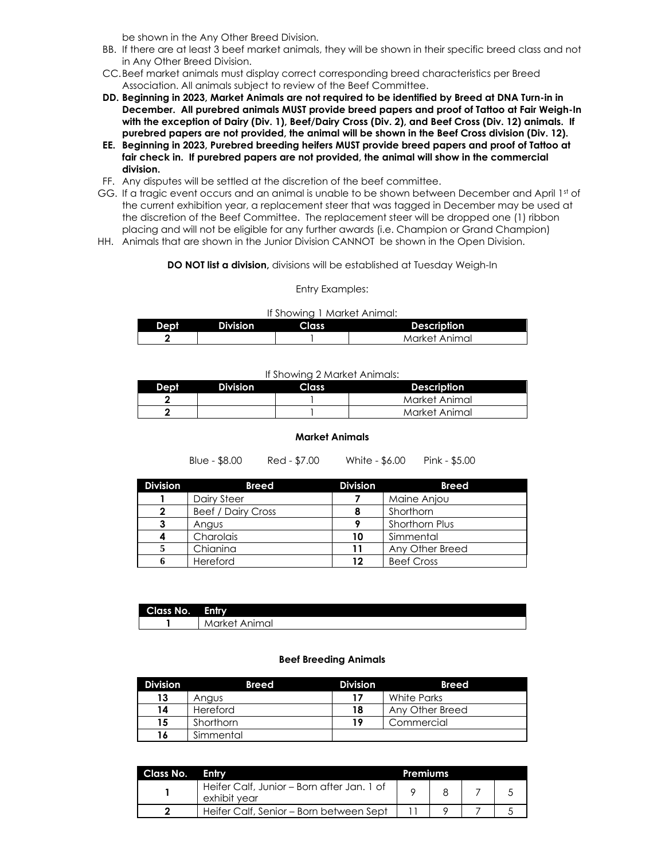be shown in the Any Other Breed Division.

- BB. If there are at least 3 beef market animals, they will be shown in their specific breed class and not in Any Other Breed Division.
- CC.Beef market animals must display correct corresponding breed characteristics per Breed Association. All animals subject to review of the Beef Committee.
- **DD. Beginning in 2023, Market Animals are not required to be identified by Breed at DNA Turn-in in December. All purebred animals MUST provide breed papers and proof of Tattoo at Fair Weigh-In with the exception of Dairy (Div. 1), Beef/Dairy Cross (Div. 2), and Beef Cross (Div. 12) animals. If purebred papers are not provided, the animal will be shown in the Beef Cross division (Div. 12).**
- **EE. Beginning in 2023, Purebred breeding heifers MUST provide breed papers and proof of Tattoo at fair check in. If purebred papers are not provided, the animal will show in the commercial division.**
- FF. Any disputes will be settled at the discretion of the beef committee.
- GG. If a tragic event occurs and an animal is unable to be shown between December and April 1st of the current exhibition year, a replacement steer that was tagged in December may be used at the discretion of the Beef Committee. The replacement steer will be dropped one (1) ribbon placing and will not be eligible for any further awards (i.e. Champion or Grand Champion)
- HH. Animals that are shown in the Junior Division CANNOT be shown in the Open Division.

**DO NOT list a division,** divisions will be established at Tuesday Weigh-In

Entry Examples:

| If Showing 1 Market Animal: |
|-----------------------------|
|-----------------------------|

| Dept | <b>Division</b> | Class <sub>1</sub> | <b>Description</b> |
|------|-----------------|--------------------|--------------------|
|      |                 |                    | Market Animal      |

If Showing 2 Market Animals:

| Dept. | <b>Division</b> | Class | Description   |
|-------|-----------------|-------|---------------|
|       |                 |       | Market Animal |
|       |                 |       | Market Animal |

#### **Market Animals**

Red - \$7.00 White - \$6.00 Pink - \$5.00

**Division Breed Division Breed** | Dairy Steer **7** | Maine Anjou Beef / Dairy Cross **8** Shorthorn Angus **9** Shorthorn Plus Charolais **10** Simmental Chianina **11** Any Other Breed Hereford **12** Beef Cross

| Class No. | <b>Entry</b>       |
|-----------|--------------------|
|           | Animal<br>Market . |

#### **Beef Breeding Animals**

| <b>Division</b> | <b>Breed</b>    | <b>Division</b> | <b>Breed</b>    |
|-----------------|-----------------|-----------------|-----------------|
| 13              | Angus           | 17              | White Parks     |
| 14              | <b>Hereford</b> | 18              | Any Other Breed |
| 15              | Shorthorn       | 19              | Commercial      |
| 16              | Simmental       |                 |                 |

| Class No. | <b>Entry</b>                                               | Premiums |  |  |
|-----------|------------------------------------------------------------|----------|--|--|
|           | Heifer Calf, Junior - Born after Jan. 1 of<br>exhibit vear |          |  |  |
|           | Heifer Calf, Senior – Born between Sept                    |          |  |  |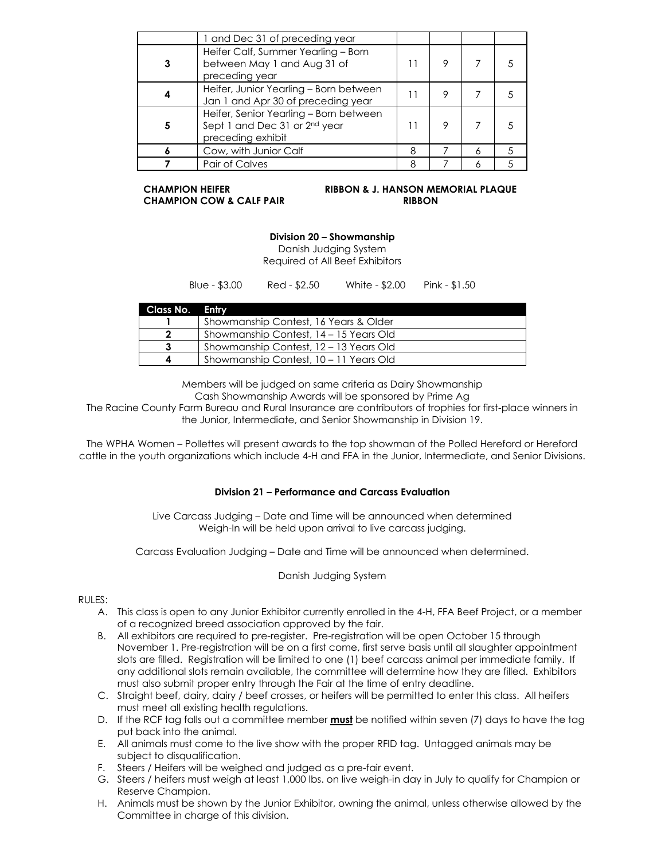|   | 1 and Dec 31 of preceding year                                                                           |   |  |  |
|---|----------------------------------------------------------------------------------------------------------|---|--|--|
|   | Heifer Calf, Summer Yearling - Born<br>between May 1 and Aug 31 of<br>preceding year                     |   |  |  |
|   | Heifer, Junior Yearling - Born between<br>Jan 1 and Apr 30 of preceding year                             |   |  |  |
| 5 | Heifer, Senior Yearling - Born between<br>Sept 1 and Dec 31 or 2 <sup>nd</sup> year<br>preceding exhibit |   |  |  |
|   | Cow, with Junior Calf                                                                                    | 8 |  |  |
|   | Pair of Calves                                                                                           |   |  |  |

**CHAMPION COW & CALF PAIR RIBBON**

# **CHAMPION HEIFER RIBBON & J. HANSON MEMORIAL PLAQUE**

## **Division 20 – Showmanship**

Danish Judging System Required of All Beef Exhibitors

Blue - \$3.00 Red - \$2.50 White - \$2.00 Pink - \$1.50

| Class No. Entry |                                        |
|-----------------|----------------------------------------|
|                 | Showmanship Contest, 16 Years & Older  |
|                 | Showmanship Contest, 14 - 15 Years Old |
|                 | Showmanship Contest, 12 - 13 Years Old |
|                 | Showmanship Contest, 10 - 11 Years Old |

Members will be judged on same criteria as Dairy Showmanship

Cash Showmanship Awards will be sponsored by Prime Ag

The Racine County Farm Bureau and Rural Insurance are contributors of trophies for first-place winners in the Junior, Intermediate, and Senior Showmanship in Division 19.

The WPHA Women – Pollettes will present awards to the top showman of the Polled Hereford or Hereford cattle in the youth organizations which include 4-H and FFA in the Junior, Intermediate, and Senior Divisions.

### **Division 21 – Performance and Carcass Evaluation**

Live Carcass Judging – Date and Time will be announced when determined Weigh-In will be held upon arrival to live carcass judging.

Carcass Evaluation Judging – Date and Time will be announced when determined.

### Danish Judging System

### $RUIES:$

- A. This class is open to any Junior Exhibitor currently enrolled in the 4-H, FFA Beef Project, or a member of a recognized breed association approved by the fair.
- B. All exhibitors are required to pre-register. Pre-registration will be open October 15 through November 1. Pre-registration will be on a first come, first serve basis until all slaughter appointment slots are filled. Registration will be limited to one (1) beef carcass animal per immediate family. If any additional slots remain available, the committee will determine how they are filled. Exhibitors must also submit proper entry through the Fair at the time of entry deadline.
- C. Straight beef, dairy, dairy / beef crosses, or heifers will be permitted to enter this class. All heifers must meet all existing health regulations.
- D. If the RCF tag falls out a committee member **must** be notified within seven (7) days to have the tag put back into the animal.
- E. All animals must come to the live show with the proper RFID tag. Untagged animals may be subject to disqualification.
- F. Steers / Heifers will be weighed and judged as a pre-fair event.
- G. Steers / heifers must weigh at least 1,000 lbs. on live weigh-in day in July to qualify for Champion or Reserve Champion.
- H. Animals must be shown by the Junior Exhibitor, owning the animal, unless otherwise allowed by the Committee in charge of this division.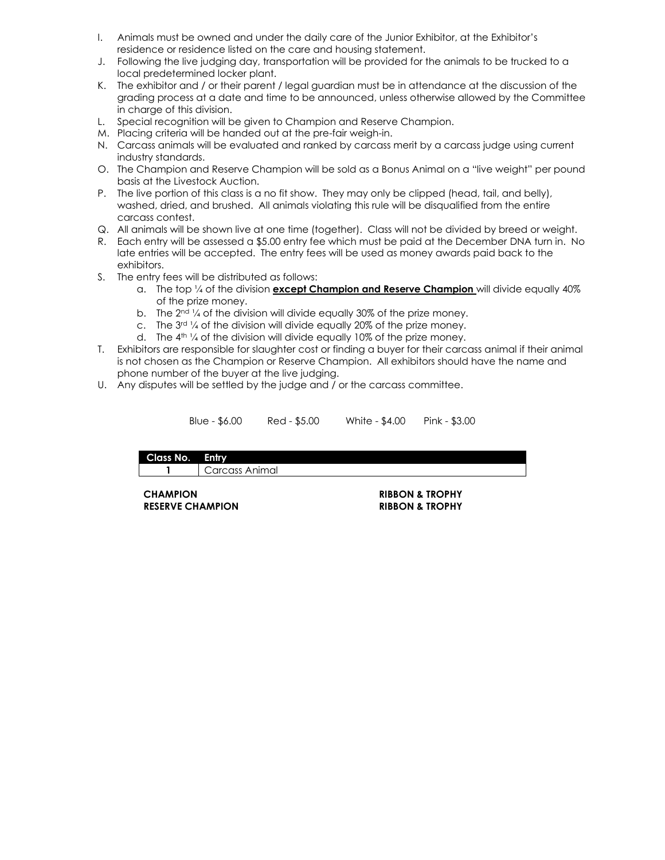- I. Animals must be owned and under the daily care of the Junior Exhibitor, at the Exhibitor's residence or residence listed on the care and housing statement.
- J. Following the live judging day, transportation will be provided for the animals to be trucked to a local predetermined locker plant.
- K. The exhibitor and / or their parent / legal guardian must be in attendance at the discussion of the grading process at a date and time to be announced, unless otherwise allowed by the Committee in charge of this division.
- L. Special recognition will be given to Champion and Reserve Champion.
- M. Placing criteria will be handed out at the pre-fair weigh-in.
- N. Carcass animals will be evaluated and ranked by carcass merit by a carcass judge using current industry standards.
- O. The Champion and Reserve Champion will be sold as a Bonus Animal on a "live weight" per pound basis at the Livestock Auction.
- P. The live portion of this class is a no fit show. They may only be clipped (head, tail, and belly), washed, dried, and brushed. All animals violating this rule will be disqualified from the entire carcass contest.
- Q. All animals will be shown live at one time (together). Class will not be divided by breed or weight.
- R. Each entry will be assessed a \$5.00 entry fee which must be paid at the December DNA turn in. No late entries will be accepted. The entry fees will be used as money awards paid back to the exhibitors.
- S. The entry fees will be distributed as follows:
	- a. The top ¼ of the division **except Champion and Reserve Champion** will divide equally 40% of the prize money.
	- b. The  $2^{nd}$  % of the division will divide equally 30% of the prize money.
	- c. The 3rd ¼ of the division will divide equally 20% of the prize money.
	- d. The  $4<sup>th</sup>$  1/4 of the division will divide equally 10% of the prize money.
- T. Exhibitors are responsible for slaughter cost or finding a buyer for their carcass animal if their animal is not chosen as the Champion or Reserve Champion. All exhibitors should have the name and phone number of the buyer at the live judging.
- U. Any disputes will be settled by the judge and / or the carcass committee.

| Blue - \$6.00 | Red - \$5.00 | White - \$4.00 | Pink - \$3.00 |  |
|---------------|--------------|----------------|---------------|--|
|---------------|--------------|----------------|---------------|--|

**Class No. Entry 1** Carcass Animal

**CHAMPION RIBBON & TROPHY RESERVE CHAMPION RIBBON & TROPHY**